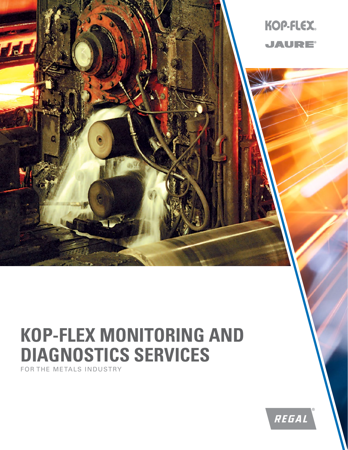

# **KOP-FLEX MONITORING AND DIAGNOSTICS SERVICES**

FOR THE METALS INDUSTRY

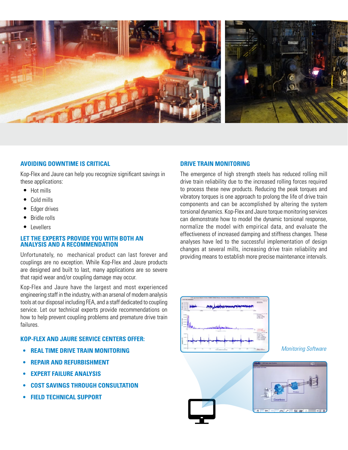

#### **AVOIDING DOWNTIME IS CRITICAL**

Kop-Flex and Jaure can help you recognize significant savings in these applications:

- Hot mills
- Cold mills
- Edger drives
- Bridle rolls
- **Levellers**

#### **LET THE EXPERTS PROVIDE YOU WITH BOTH AN ANALYSIS AND A RECOMMENDATION**

Unfortunately, no mechanical product can last forever and couplings are no exception. While Kop-Flex and Jaure products are designed and built to last, many applications are so severe that rapid wear and/or coupling damage may occur.

Kop-Flex and Jaure have the largest and most experienced engineering staff in the industry, with an arsenal of modern analysis tools at our disposal including FEA, and a staff dedicated to coupling service. Let our technical experts provide recommendations on how to help prevent coupling problems and premature drive train failures.

### **KOP-FLEX AND JAURE SERVICE CENTERS OFFER:**

- **• REAL TIME DRIVE TRAIN MONITORING**
- **• REPAIR AND REFURBISHMENT**
- **• EXPERT FAILURE ANALYSIS**
- **• COST SAVINGS THROUGH CONSULTATION**
- **• FIELD TECHNICAL SUPPORT**

#### **DRIVE TRAIN MONITORING**

The emergence of high strength steels has reduced rolling mill drive train reliability due to the increased rolling forces required to process these new products. Reducing the peak torques and vibratory torques is one approach to prolong the life of drive train components and can be accomplished by altering the system torsional dynamics. Kop-Flex and Jaure torque monitoring services can demonstrate how to model the dynamic torsional response, normalize the model with empirical data, and evaluate the effectiveness of increased damping and stiffness changes. These analyses have led to the successful implementation of design changes at several mills, increasing drive train reliability and providing means to establish more precise maintenance intervals.



*Monitoring Software*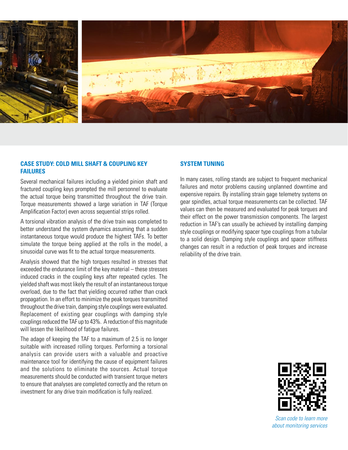

#### **CASE STUDY: COLD MILL SHAFT & COUPLING KEY FAILURES**

Several mechanical failures including a yielded pinion shaft and fractured coupling keys prompted the mill personnel to evaluate the actual torque being transmitted throughout the drive train. Torque measurements showed a large variation in TAF (Torque Amplification Factor) even across sequential strips rolled.

A torsional vibration analysis of the drive train was completed to better understand the system dynamics assuming that a sudden instantaneous torque would produce the highest TAFs. To better simulate the torque being applied at the rolls in the model, a sinusoidal curve was fit to the actual torque measurements.

Analysis showed that the high torques resulted in stresses that exceeded the endurance limit of the key material – these stresses induced cracks in the coupling keys after repeated cycles. The yielded shaft was most likely the result of an instantaneous torque overload, due to the fact that yielding occurred rather than crack propagation. In an effort to minimize the peak torques transmitted throughout the drive train, damping style couplings were evaluated. Replacement of existing gear couplings with damping style couplings reduced the TAF up to 43%. A reduction of this magnitude will lessen the likelihood of fatigue failures.

The adage of keeping the TAF to a maximum of 2.5 is no longer suitable with increased rolling torques. Performing a torsional analysis can provide users with a valuable and proactive maintenance tool for identifying the cause of equipment failures and the solutions to eliminate the sources. Actual torque measurements should be conducted with transient torque meters to ensure that analyses are completed correctly and the return on investment for any drive train modification is fully realized.

#### **SYSTEM TUNING**

In many cases, rolling stands are subject to frequent mechanical failures and motor problems causing unplanned downtime and expensive repairs. By installing strain gage telemetry systems on gear spindles, actual torque measurements can be collected. TAF values can then be measured and evaluated for peak torques and their effect on the power transmission components. The largest reduction in TAF's can usually be achieved by installing damping style couplings or modifying spacer type couplings from a tubular to a solid design. Damping style couplings and spacer stiffness changes can result in a reduction of peak torques and increase reliability of the drive train.



*Scan code to learn more about monitoring services*